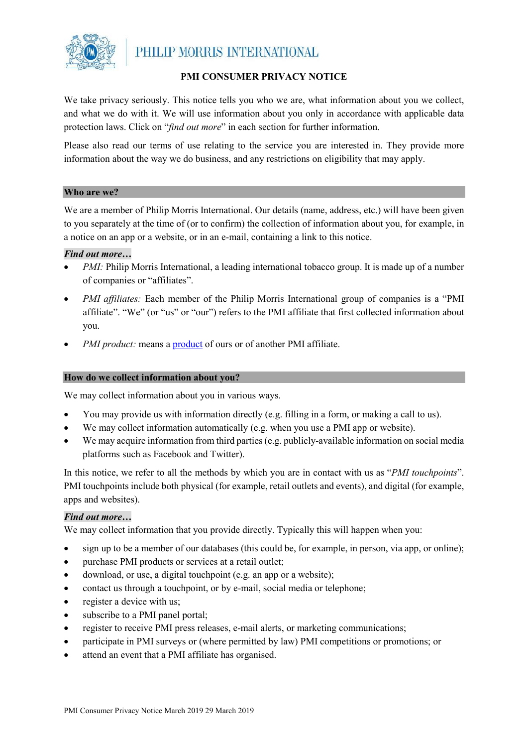

# **PMI CONSUMER PRIVACY NOTICE**

We take privacy seriously. This notice tells you who we are, what information about you we collect, and what we do with it. We will use information about you only in accordance with applicable data protection laws. Click on "*find out more*" in each section for further information.

Please also read our terms of use relating to the service you are interested in. They provide more information about the way we do business, and any restrictions on eligibility that may apply.

### **Who are we?**

We are a member of Philip Morris International. Our details (name, address, etc.) will have been given to you separately at the time of (or to confirm) the collection of information about you, for example, in a notice on an app or a website, or in an e-mail, containing a link to this notice.

### *Find out more…*

- *PMI:* Philip Morris International, a leading international tobacco group. It is made up of a number of companies or "affiliates".
- *PMI affiliates:* Each member of the Philip Morris International group of companies is a "PMI affiliate". "We" (or "us" or "our") refers to the PMI affiliate that first collected information about you.
- *PMI product:* means a **product** of ours or of another PMI affiliate.

### **How do we collect information about you?**

We may collect information about you in various ways.

- You may provide us with information directly (e.g. filling in a form, or making a call to us).
- We may collect information automatically (e.g. when you use a PMI app or website).
- We may acquire information from third parties (e.g. publicly-available information on social media platforms such as Facebook and Twitter).

In this notice, we refer to all the methods by which you are in contact with us as "*PMI touchpoints*". PMI touchpoints include both physical (for example, retail outlets and events), and digital (for example, apps and websites).

# *Find out more…*

We may collect information that you provide directly. Typically this will happen when you:

- sign up to be a member of our databases (this could be, for example, in person, via app, or online);
- purchase PMI products or services at a retail outlet;
- download, or use, a digital touchpoint (e.g. an app or a website);
- contact us through a touchpoint, or by e-mail, social media or telephone;
- register a device with us;
- subscribe to a PMI panel portal;
- register to receive PMI press releases, e-mail alerts, or marketing communications;
- participate in PMI surveys or (where permitted by law) PMI competitions or promotions; or
- attend an event that a PMI affiliate has organised.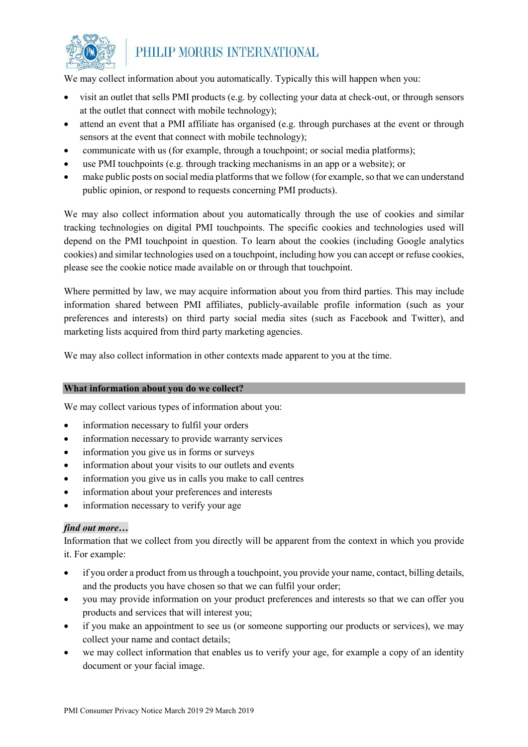

We may collect information about you automatically. Typically this will happen when you:

- visit an outlet that sells PMI products (e.g. by collecting your data at check-out, or through sensors at the outlet that connect with mobile technology);
- attend an event that a PMI affiliate has organised (e.g. through purchases at the event or through sensors at the event that connect with mobile technology);
- communicate with us (for example, through a touchpoint; or social media platforms);
- use PMI touchpoints (e.g. through tracking mechanisms in an app or a website); or
- make public posts on social media platforms that we follow (for example, so that we can understand public opinion, or respond to requests concerning PMI products).

We may also collect information about you automatically through the use of cookies and similar tracking technologies on digital PMI touchpoints. The specific cookies and technologies used will depend on the PMI touchpoint in question. To learn about the cookies (including Google analytics cookies) and similar technologies used on a touchpoint, including how you can accept or refuse cookies, please see the cookie notice made available on or through that touchpoint.

Where permitted by law, we may acquire information about you from third parties. This may include information shared between PMI affiliates, publicly-available profile information (such as your preferences and interests) on third party social media sites (such as Facebook and Twitter), and marketing lists acquired from third party marketing agencies.

We may also collect information in other contexts made apparent to you at the time.

### **What information about you do we collect?**

We may collect various types of information about you:

- information necessary to fulfil your orders
- information necessary to provide warranty services
- information you give us in forms or surveys
- information about your visits to our outlets and events
- information you give us in calls you make to call centres
- information about your preferences and interests
- information necessary to verify your age

### *find out more…*

Information that we collect from you directly will be apparent from the context in which you provide it. For example:

- if you order a product from us through a touchpoint, you provide your name, contact, billing details, and the products you have chosen so that we can fulfil your order;
- you may provide information on your product preferences and interests so that we can offer you products and services that will interest you;
- if you make an appointment to see us (or someone supporting our products or services), we may collect your name and contact details;
- we may collect information that enables us to verify your age, for example a copy of an identity document or your facial image.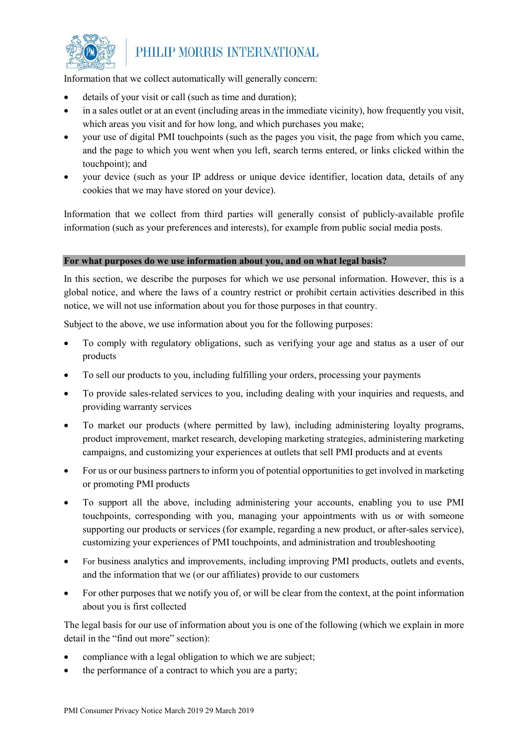

Information that we collect automatically will generally concern:

- details of your visit or call (such as time and duration);
- in a sales outlet or at an event (including areas in the immediate vicinity), how frequently you visit, which areas you visit and for how long, and which purchases you make;
- your use of digital PMI touchpoints (such as the pages you visit, the page from which you came, and the page to which you went when you left, search terms entered, or links clicked within the touchpoint); and
- your device (such as your IP address or unique device identifier, location data, details of any cookies that we may have stored on your device).

Information that we collect from third parties will generally consist of publicly-available profile information (such as your preferences and interests), for example from public social media posts.

### **For what purposes do we use information about you, and on what legal basis?**

In this section, we describe the purposes for which we use personal information. However, this is a global notice, and where the laws of a country restrict or prohibit certain activities described in this notice, we will not use information about you for those purposes in that country.

Subject to the above, we use information about you for the following purposes:

- To comply with regulatory obligations, such as verifying your age and status as a user of our products
- To sell our products to you, including fulfilling your orders, processing your payments
- To provide sales-related services to you, including dealing with your inquiries and requests, and providing warranty services
- To market our products (where permitted by law), including administering loyalty programs, product improvement, market research, developing marketing strategies, administering marketing campaigns, and customizing your experiences at outlets that sell PMI products and at events
- For us or our business partners to inform you of potential opportunities to get involved in marketing or promoting PMI products
- To support all the above, including administering your accounts, enabling you to use PMI touchpoints, corresponding with you, managing your appointments with us or with someone supporting our products or services (for example, regarding a new product, or after-sales service), customizing your experiences of PMI touchpoints, and administration and troubleshooting
- For business analytics and improvements, including improving PMI products, outlets and events, and the information that we (or our affiliates) provide to our customers
- For other purposes that we notify you of, or will be clear from the context, at the point information about you is first collected

The legal basis for our use of information about you is one of the following (which we explain in more detail in the "find out more" section):

- compliance with a legal obligation to which we are subject;
- the performance of a contract to which you are a party;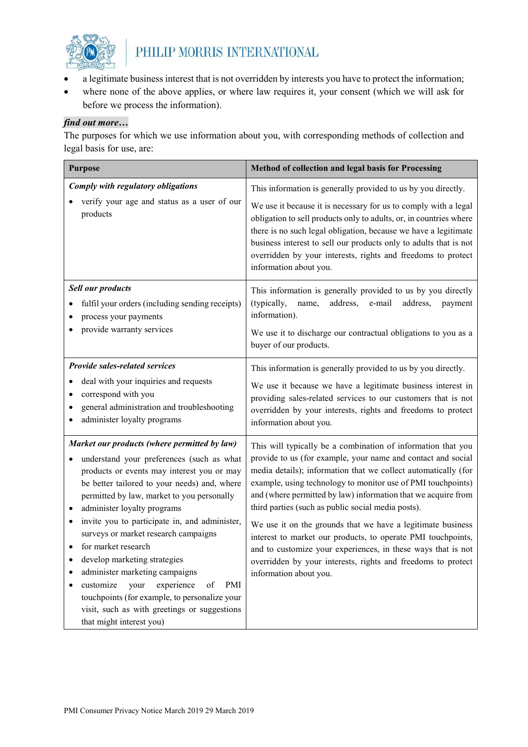

- a legitimate business interest that is not overridden by interests you have to protect the information;
- where none of the above applies, or where law requires it, your consent (which we will ask for before we process the information).

# *find out more…*

The purposes for which we use information about you, with corresponding methods of collection and legal basis for use, are:

| <b>Purpose</b>                                                                                                                                                                                                                                                                                                                                                                                                                                                                                                                                                                                                                                | Method of collection and legal basis for Processing                                                                                                                                                                                                                                                                                                                                                                                                                                                                                                                                                                                                                            |
|-----------------------------------------------------------------------------------------------------------------------------------------------------------------------------------------------------------------------------------------------------------------------------------------------------------------------------------------------------------------------------------------------------------------------------------------------------------------------------------------------------------------------------------------------------------------------------------------------------------------------------------------------|--------------------------------------------------------------------------------------------------------------------------------------------------------------------------------------------------------------------------------------------------------------------------------------------------------------------------------------------------------------------------------------------------------------------------------------------------------------------------------------------------------------------------------------------------------------------------------------------------------------------------------------------------------------------------------|
| Comply with regulatory obligations<br>verify your age and status as a user of our<br>products                                                                                                                                                                                                                                                                                                                                                                                                                                                                                                                                                 | This information is generally provided to us by you directly.<br>We use it because it is necessary for us to comply with a legal<br>obligation to sell products only to adults, or, in countries where<br>there is no such legal obligation, because we have a legitimate<br>business interest to sell our products only to adults that is not<br>overridden by your interests, rights and freedoms to protect<br>information about you.                                                                                                                                                                                                                                       |
| <b>Sell our products</b><br>fulfil your orders (including sending receipts)<br>process your payments<br>provide warranty services                                                                                                                                                                                                                                                                                                                                                                                                                                                                                                             | This information is generally provided to us by you directly<br>(typically,<br>address,<br>name,<br>e-mail<br>address,<br>payment<br>information).<br>We use it to discharge our contractual obligations to you as a<br>buyer of our products.                                                                                                                                                                                                                                                                                                                                                                                                                                 |
| Provide sales-related services<br>deal with your inquiries and requests<br>correspond with you<br>$\bullet$<br>general administration and troubleshooting<br>administer loyalty programs                                                                                                                                                                                                                                                                                                                                                                                                                                                      | This information is generally provided to us by you directly.<br>We use it because we have a legitimate business interest in<br>providing sales-related services to our customers that is not<br>overridden by your interests, rights and freedoms to protect<br>information about you.                                                                                                                                                                                                                                                                                                                                                                                        |
| Market our products (where permitted by law)<br>understand your preferences (such as what<br>products or events may interest you or may<br>be better tailored to your needs) and, where<br>permitted by law, market to you personally<br>administer loyalty programs<br>invite you to participate in, and administer,<br>٠<br>surveys or market research campaigns<br>for market research<br>develop marketing strategies<br>administer marketing campaigns<br>customize<br>experience<br>PMI<br>your<br>of<br>٠<br>touchpoints (for example, to personalize your<br>visit, such as with greetings or suggestions<br>that might interest you) | This will typically be a combination of information that you<br>provide to us (for example, your name and contact and social<br>media details); information that we collect automatically (for<br>example, using technology to monitor use of PMI touchpoints)<br>and (where permitted by law) information that we acquire from<br>third parties (such as public social media posts).<br>We use it on the grounds that we have a legitimate business<br>interest to market our products, to operate PMI touchpoints,<br>and to customize your experiences, in these ways that is not<br>overridden by your interests, rights and freedoms to protect<br>information about you. |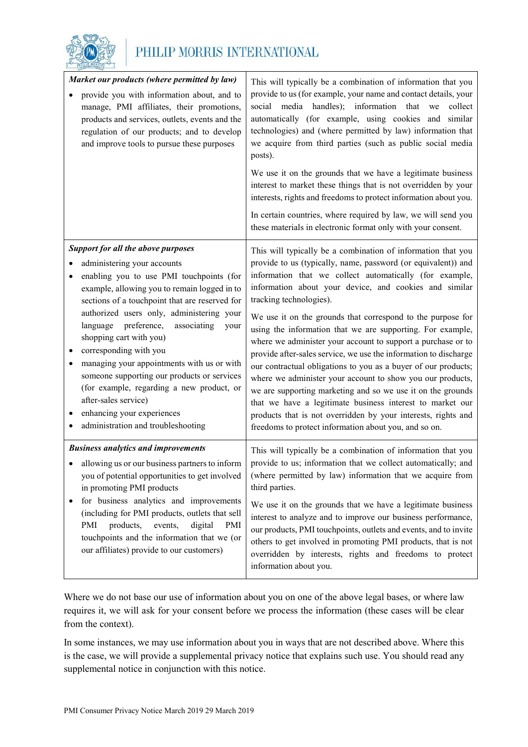

|   | Market our products (where permitted by law)<br>provide you with information about, and to<br>manage, PMI affiliates, their promotions,<br>products and services, outlets, events and the<br>regulation of our products; and to develop<br>and improve tools to pursue these purposes                                                                                                                                                                                                                                                                                                                            | This will typically be a combination of information that you<br>provide to us (for example, your name and contact details, your<br>social media handles); information that we<br>collect<br>automatically (for example, using cookies and similar<br>technologies) and (where permitted by law) information that<br>we acquire from third parties (such as public social media<br>posts).<br>We use it on the grounds that we have a legitimate business<br>interest to market these things that is not overridden by your<br>interests, rights and freedoms to protect information about you.<br>In certain countries, where required by law, we will send you<br>these materials in electronic format only with your consent.                                                                                                                                                                                                      |
|---|------------------------------------------------------------------------------------------------------------------------------------------------------------------------------------------------------------------------------------------------------------------------------------------------------------------------------------------------------------------------------------------------------------------------------------------------------------------------------------------------------------------------------------------------------------------------------------------------------------------|--------------------------------------------------------------------------------------------------------------------------------------------------------------------------------------------------------------------------------------------------------------------------------------------------------------------------------------------------------------------------------------------------------------------------------------------------------------------------------------------------------------------------------------------------------------------------------------------------------------------------------------------------------------------------------------------------------------------------------------------------------------------------------------------------------------------------------------------------------------------------------------------------------------------------------------|
| ٠ | <b>Support for all the above purposes</b><br>administering your accounts<br>enabling you to use PMI touchpoints (for<br>example, allowing you to remain logged in to<br>sections of a touchpoint that are reserved for<br>authorized users only, administering your<br>preference,<br>associating<br>language<br>your<br>shopping cart with you)<br>corresponding with you<br>managing your appointments with us or with<br>someone supporting our products or services<br>(for example, regarding a new product, or<br>after-sales service)<br>enhancing your experiences<br>administration and troubleshooting | This will typically be a combination of information that you<br>provide to us (typically, name, password (or equivalent)) and<br>information that we collect automatically (for example,<br>information about your device, and cookies and similar<br>tracking technologies).<br>We use it on the grounds that correspond to the purpose for<br>using the information that we are supporting. For example,<br>where we administer your account to support a purchase or to<br>provide after-sales service, we use the information to discharge<br>our contractual obligations to you as a buyer of our products;<br>where we administer your account to show you our products,<br>we are supporting marketing and so we use it on the grounds<br>that we have a legitimate business interest to market our<br>products that is not overridden by your interests, rights and<br>freedoms to protect information about you, and so on. |
|   | <b>Business analytics and improvements</b><br>allowing us or our business partners to inform<br>you of potential opportunities to get involved<br>in promoting PMI products<br>for business analytics and improvements<br>(including for PMI products, outlets that sell<br>PMI<br>products,<br>events,<br>digital<br>PMI<br>touchpoints and the information that we (or<br>our affiliates) provide to our customers)                                                                                                                                                                                            | This will typically be a combination of information that you<br>provide to us; information that we collect automatically; and<br>(where permitted by law) information that we acquire from<br>third parties.<br>We use it on the grounds that we have a legitimate business<br>interest to analyze and to improve our business performance,<br>our products, PMI touchpoints, outlets and events, and to invite<br>others to get involved in promoting PMI products, that is not<br>overridden by interests, rights and freedoms to protect<br>information about you.                                                                                                                                                                                                                                                                                                                                                                |

Where we do not base our use of information about you on one of the above legal bases, or where law requires it, we will ask for your consent before we process the information (these cases will be clear from the context).

In some instances, we may use information about you in ways that are not described above. Where this is the case, we will provide a supplemental privacy notice that explains such use. You should read any supplemental notice in conjunction with this notice.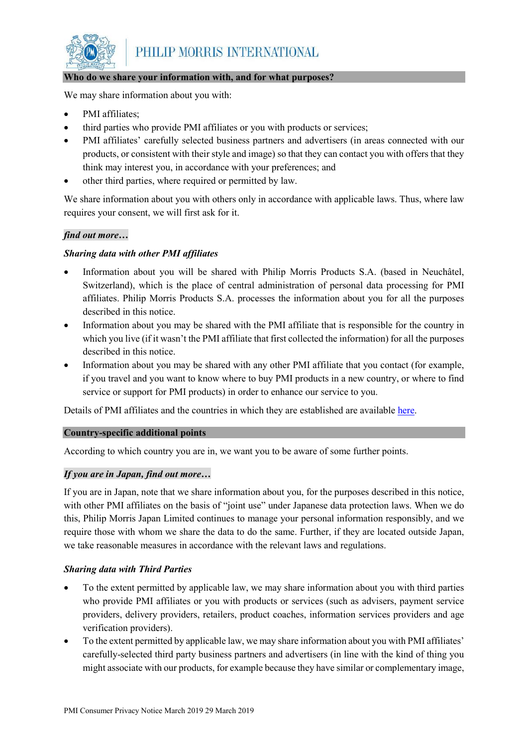

### **Who do we share your information with, and for what purposes?**

We may share information about you with:

- PMI affiliates;
- third parties who provide PMI affiliates or you with products or services;
- PMI affiliates' carefully selected business partners and advertisers (in areas connected with our products, or consistent with their style and image) so that they can contact you with offers that they think may interest you, in accordance with your preferences; and
- other third parties, where required or permitted by law.

We share information about you with others only in accordance with applicable laws. Thus, where law requires your consent, we will first ask for it.

# *find out more…*

# *Sharing data with other PMI affiliates*

- Information about you will be shared with Philip Morris Products S.A. (based in Neuchâtel, Switzerland), which is the place of central administration of personal data processing for PMI affiliates. Philip Morris Products S.A. processes the information about you for all the purposes described in this notice.
- Information about you may be shared with the PMI affiliate that is responsible for the country in which you live (if it wasn't the PMI affiliate that first collected the information) for all the purposes described in this notice.
- Information about you may be shared with any other PMI affiliate that you contact (for example, if you travel and you want to know where to buy PMI products in a new country, or where to find service or support for PMI products) in order to enhance our service to you.

Details of PMI affiliates and the countries in which they are established are available [here.](https://www.pmiprivacy.com/en/consumer/affiliates)

# **Country-specific additional points**

According to which country you are in, we want you to be aware of some further points.

# *If you are in Japan, find out more…*

If you are in Japan, note that we share information about you, for the purposes described in this notice, with other PMI affiliates on the basis of "joint use" under Japanese data protection laws. When we do this, Philip Morris Japan Limited continues to manage your personal information responsibly, and we require those with whom we share the data to do the same. Further, if they are located outside Japan, we take reasonable measures in accordance with the relevant laws and regulations.

# *Sharing data with Third Parties*

- To the extent permitted by applicable law, we may share information about you with third parties who provide PMI affiliates or you with products or services (such as advisers, payment service providers, delivery providers, retailers, product coaches, information services providers and age verification providers).
- To the extent permitted by applicable law, we may share information about you with PMI affiliates' carefully-selected third party business partners and advertisers (in line with the kind of thing you might associate with our products, for example because they have similar or complementary image,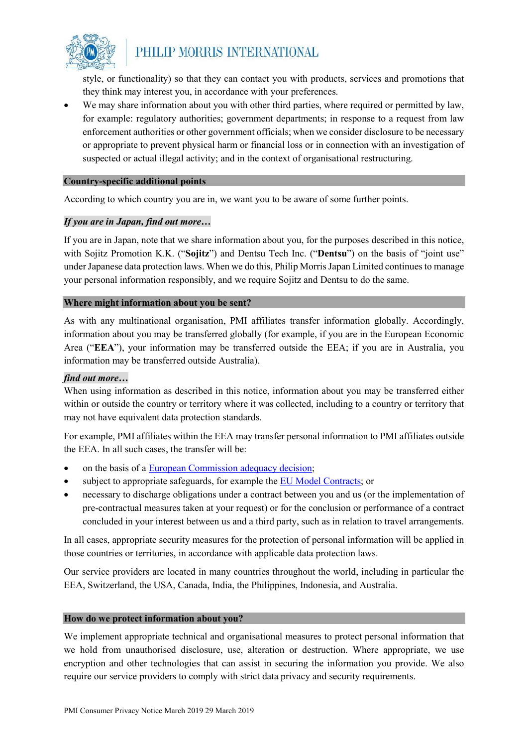

style, or functionality) so that they can contact you with products, services and promotions that they think may interest you, in accordance with your preferences.

We may share information about you with other third parties, where required or permitted by law, for example: regulatory authorities; government departments; in response to a request from law enforcement authorities or other government officials; when we consider disclosure to be necessary or appropriate to prevent physical harm or financial loss or in connection with an investigation of suspected or actual illegal activity; and in the context of organisational restructuring.

### **Country-specific additional points**

According to which country you are in, we want you to be aware of some further points.

### *If you are in Japan, find out more…*

If you are in Japan, note that we share information about you, for the purposes described in this notice, with Sojitz Promotion K.K. ("**Sojitz**") and Dentsu Tech Inc. ("**Dentsu**") on the basis of "joint use" under Japanese data protection laws. When we do this, Philip Morris Japan Limited continues to manage your personal information responsibly, and we require Sojitz and Dentsu to do the same.

### **Where might information about you be sent?**

As with any multinational organisation, PMI affiliates transfer information globally. Accordingly, information about you may be transferred globally (for example, if you are in the European Economic Area ("**EEA**"), your information may be transferred outside the EEA; if you are in Australia, you information may be transferred outside Australia).

### *find out more…*

When using information as described in this notice, information about you may be transferred either within or outside the country or territory where it was collected, including to a country or territory that may not have equivalent data protection standards.

For example, PMI affiliates within the EEA may transfer personal information to PMI affiliates outside the EEA. In all such cases, the transfer will be:

- on the basis of a [European Commission adequacy decision;](https://ec.europa.eu/info/law/law-topic/data-protection/data-transfers-outside-eu/adequacy-protection-personal-data-non-eu-countries_en#dataprotectionincountriesoutsidetheeu)
- subject to appropriate safeguards, for example th[e EU Model Contracts;](https://ec.europa.eu/info/law/law-topic/data-protection/data-transfers-outside-eu/model-contracts-transfer-personal-data-third-countries_en) or
- necessary to discharge obligations under a contract between you and us (or the implementation of pre-contractual measures taken at your request) or for the conclusion or performance of a contract concluded in your interest between us and a third party, such as in relation to travel arrangements.

In all cases, appropriate security measures for the protection of personal information will be applied in those countries or territories, in accordance with applicable data protection laws.

Our service providers are located in many countries throughout the world, including in particular the EEA, Switzerland, the USA, Canada, India, the Philippines, Indonesia, and Australia.

### **How do we protect information about you?**

We implement appropriate technical and organisational measures to protect personal information that we hold from unauthorised disclosure, use, alteration or destruction. Where appropriate, we use encryption and other technologies that can assist in securing the information you provide. We also require our service providers to comply with strict data privacy and security requirements.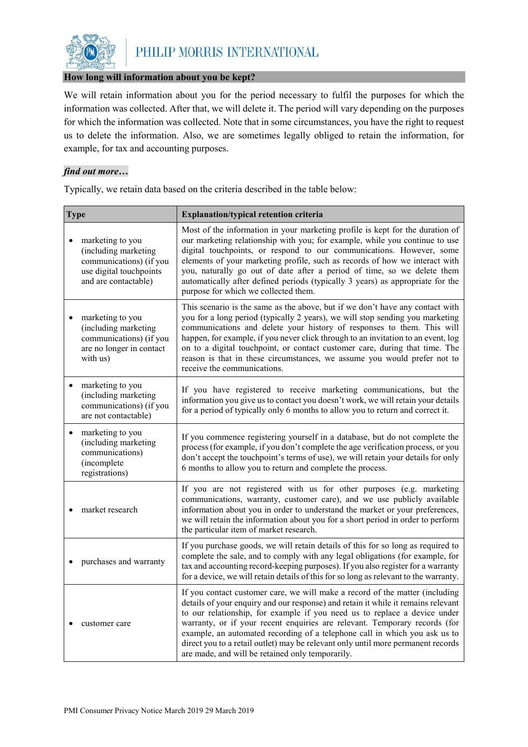

### **How long will information about you be kept?**

We will retain information about you for the period necessary to fulfil the purposes for which the information was collected. After that, we will delete it. The period will vary depending on the purposes for which the information was collected. Note that in some circumstances, you have the right to request us to delete the information. Also, we are sometimes legally obliged to retain the information, for example, for tax and accounting purposes.

# *find out more…*

Typically, we retain data based on the criteria described in the table below:

| <b>Type</b>                                                                                                            | <b>Explanation/typical retention criteria</b>                                                                                                                                                                                                                                                                                                                                                                                                                                                                                                      |
|------------------------------------------------------------------------------------------------------------------------|----------------------------------------------------------------------------------------------------------------------------------------------------------------------------------------------------------------------------------------------------------------------------------------------------------------------------------------------------------------------------------------------------------------------------------------------------------------------------------------------------------------------------------------------------|
| marketing to you<br>(including marketing<br>communications) (if you<br>use digital touchpoints<br>and are contactable) | Most of the information in your marketing profile is kept for the duration of<br>our marketing relationship with you; for example, while you continue to use<br>digital touchpoints, or respond to our communications. However, some<br>elements of your marketing profile, such as records of how we interact with<br>you, naturally go out of date after a period of time, so we delete them<br>automatically after defined periods (typically 3 years) as appropriate for the<br>purpose for which we collected them.                           |
| marketing to you<br>(including marketing<br>communications) (if you<br>are no longer in contact<br>with us)            | This scenario is the same as the above, but if we don't have any contact with<br>you for a long period (typically 2 years), we will stop sending you marketing<br>communications and delete your history of responses to them. This will<br>happen, for example, if you never click through to an invitation to an event, log<br>on to a digital touchpoint, or contact customer care, during that time. The<br>reason is that in these circumstances, we assume you would prefer not to<br>receive the communications.                            |
| marketing to you<br>$\bullet$<br>(including marketing<br>communications) (if you<br>are not contactable)               | If you have registered to receive marketing communications, but the<br>information you give us to contact you doesn't work, we will retain your details<br>for a period of typically only 6 months to allow you to return and correct it.                                                                                                                                                                                                                                                                                                          |
| marketing to you<br>$\bullet$<br>(including marketing<br>communications)<br>(incomplete<br>registrations)              | If you commence registering yourself in a database, but do not complete the<br>process (for example, if you don't complete the age verification process, or you<br>don't accept the touchpoint's terms of use), we will retain your details for only<br>6 months to allow you to return and complete the process.                                                                                                                                                                                                                                  |
| market research                                                                                                        | If you are not registered with us for other purposes (e.g. marketing<br>communications, warranty, customer care), and we use publicly available<br>information about you in order to understand the market or your preferences,<br>we will retain the information about you for a short period in order to perform<br>the particular item of market research.                                                                                                                                                                                      |
| purchases and warranty                                                                                                 | If you purchase goods, we will retain details of this for so long as required to<br>complete the sale, and to comply with any legal obligations (for example, for<br>tax and accounting record-keeping purposes). If you also register for a warranty<br>for a device, we will retain details of this for so long as relevant to the warranty.                                                                                                                                                                                                     |
| customer care                                                                                                          | If you contact customer care, we will make a record of the matter (including<br>details of your enquiry and our response) and retain it while it remains relevant<br>to our relationship, for example if you need us to replace a device under<br>warranty, or if your recent enquiries are relevant. Temporary records (for<br>example, an automated recording of a telephone call in which you ask us to<br>direct you to a retail outlet) may be relevant only until more permanent records<br>are made, and will be retained only temporarily. |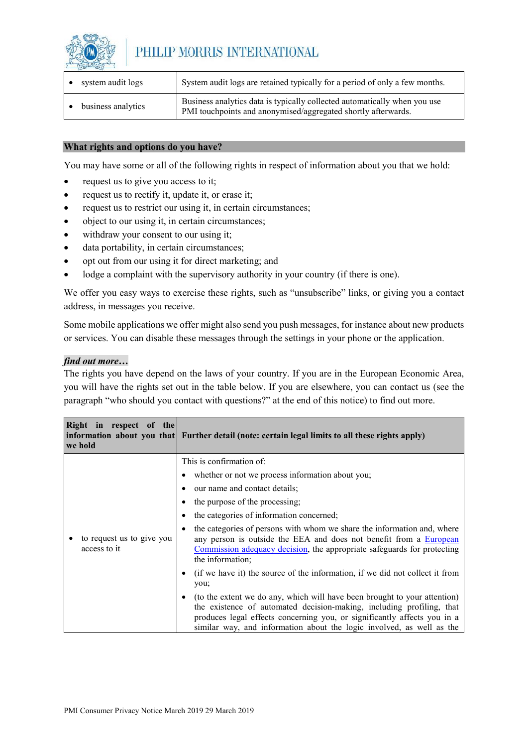

| system audit logs  | System audit logs are retained typically for a period of only a few months.                                                                |
|--------------------|--------------------------------------------------------------------------------------------------------------------------------------------|
| business analytics | Business analytics data is typically collected automatically when you use<br>PMI touchpoints and anonymised/aggregated shortly afterwards. |

### **What rights and options do you have?**

You may have some or all of the following rights in respect of information about you that we hold:

- request us to give you access to it;
- request us to rectify it, update it, or erase it;
- request us to restrict our using it, in certain circumstances;
- object to our using it, in certain circumstances;
- withdraw your consent to our using it;
- data portability, in certain circumstances;
- opt out from our using it for direct marketing; and
- lodge a complaint with the supervisory authority in your country (if there is one).

We offer you easy ways to exercise these rights, such as "unsubscribe" links, or giving you a contact address, in messages you receive.

Some mobile applications we offer might also send you push messages, for instance about new products or services. You can disable these messages through the settings in your phone or the application.

### *find out more…*

The rights you have depend on the laws of your country. If you are in the European Economic Area, you will have the rights set out in the table below. If you are elsewhere, you can contact us (see the paragraph "who should you contact with questions?" at the end of this notice) to find out more.

| Right in respect of the<br>we hold        | information about you that Further detail (note: certain legal limits to all these rights apply)                                                                                                                                                                                                                                                                                                                                                                                                                                                                                                                                                                                                                                                                                                                                                      |
|-------------------------------------------|-------------------------------------------------------------------------------------------------------------------------------------------------------------------------------------------------------------------------------------------------------------------------------------------------------------------------------------------------------------------------------------------------------------------------------------------------------------------------------------------------------------------------------------------------------------------------------------------------------------------------------------------------------------------------------------------------------------------------------------------------------------------------------------------------------------------------------------------------------|
| to request us to give you<br>access to it | This is confirmation of:<br>whether or not we process information about you;<br>our name and contact details;<br>the purpose of the processing;<br>the categories of information concerned;<br>the categories of persons with whom we share the information and, where<br>any person is outside the EEA and does not benefit from a <b>European</b><br>Commission adequacy decision, the appropriate safeguards for protecting<br>the information;<br>(if we have it) the source of the information, if we did not collect it from<br>you;<br>(to the extent we do any, which will have been brought to your attention)<br>the existence of automated decision-making, including profiling, that<br>produces legal effects concerning you, or significantly affects you in a<br>similar way, and information about the logic involved, as well as the |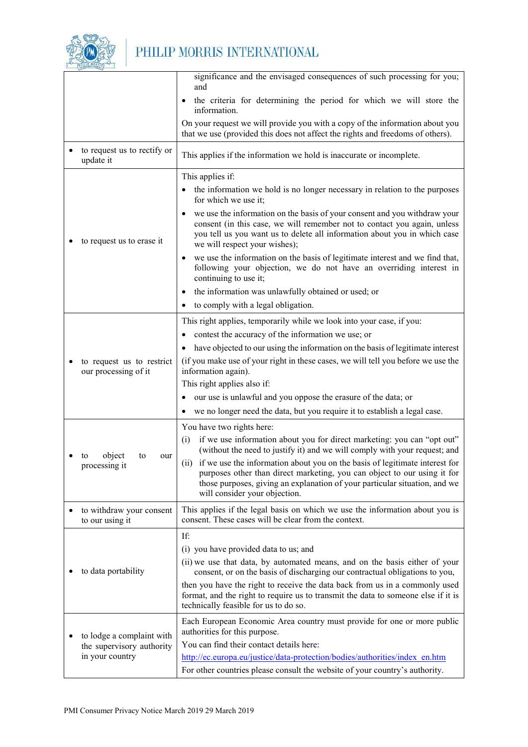

|                                             | significance and the envisaged consequences of such processing for you;<br>and                                                                                                                                                                                              |
|---------------------------------------------|-----------------------------------------------------------------------------------------------------------------------------------------------------------------------------------------------------------------------------------------------------------------------------|
|                                             | the criteria for determining the period for which we will store the                                                                                                                                                                                                         |
|                                             | information.                                                                                                                                                                                                                                                                |
|                                             | On your request we will provide you with a copy of the information about you<br>that we use (provided this does not affect the rights and freedoms of others).                                                                                                              |
| to request us to rectify or<br>update it    | This applies if the information we hold is inaccurate or incomplete.                                                                                                                                                                                                        |
|                                             | This applies if:                                                                                                                                                                                                                                                            |
|                                             | the information we hold is no longer necessary in relation to the purposes<br>for which we use it;                                                                                                                                                                          |
| to request us to erase it                   | we use the information on the basis of your consent and you withdraw your<br>consent (in this case, we will remember not to contact you again, unless<br>you tell us you want us to delete all information about you in which case<br>we will respect your wishes);         |
|                                             | we use the information on the basis of legitimate interest and we find that,<br>٠<br>following your objection, we do not have an overriding interest in<br>continuing to use it;                                                                                            |
|                                             | the information was unlawfully obtained or used; or<br>$\bullet$                                                                                                                                                                                                            |
|                                             | to comply with a legal obligation.                                                                                                                                                                                                                                          |
|                                             | This right applies, temporarily while we look into your case, if you:                                                                                                                                                                                                       |
|                                             | contest the accuracy of the information we use; or                                                                                                                                                                                                                          |
|                                             | have objected to our using the information on the basis of legitimate interest                                                                                                                                                                                              |
| to request us to restrict                   | (if you make use of your right in these cases, we will tell you before we use the                                                                                                                                                                                           |
| our processing of it                        | information again).<br>This right applies also if:                                                                                                                                                                                                                          |
|                                             | our use is unlawful and you oppose the erasure of the data; or                                                                                                                                                                                                              |
|                                             | we no longer need the data, but you require it to establish a legal case.                                                                                                                                                                                                   |
|                                             | You have two rights here:                                                                                                                                                                                                                                                   |
|                                             | if we use information about you for direct marketing: you can "opt out"<br>(i)                                                                                                                                                                                              |
| object<br>to<br>to<br>our                   | (without the need to justify it) and we will comply with your request; and                                                                                                                                                                                                  |
| processing it                               | (ii) if we use the information about you on the basis of legitimate interest for<br>purposes other than direct marketing, you can object to our using it for<br>those purposes, giving an explanation of your particular situation, and we<br>will consider your objection. |
| to withdraw your consent<br>to our using it | This applies if the legal basis on which we use the information about you is<br>consent. These cases will be clear from the context.                                                                                                                                        |
|                                             | If:                                                                                                                                                                                                                                                                         |
|                                             | (i) you have provided data to us; and                                                                                                                                                                                                                                       |
| to data portability                         | (ii) we use that data, by automated means, and on the basis either of your<br>consent, or on the basis of discharging our contractual obligations to you,                                                                                                                   |
|                                             | then you have the right to receive the data back from us in a commonly used<br>format, and the right to require us to transmit the data to someone else if it is<br>technically feasible for us to do so.                                                                   |
| to lodge a complaint with                   | Each European Economic Area country must provide for one or more public<br>authorities for this purpose.                                                                                                                                                                    |
| the supervisory authority                   | You can find their contact details here:                                                                                                                                                                                                                                    |
| in your country                             | http://ec.europa.eu/justice/data-protection/bodies/authorities/index en.htm                                                                                                                                                                                                 |
|                                             | For other countries please consult the website of your country's authority.                                                                                                                                                                                                 |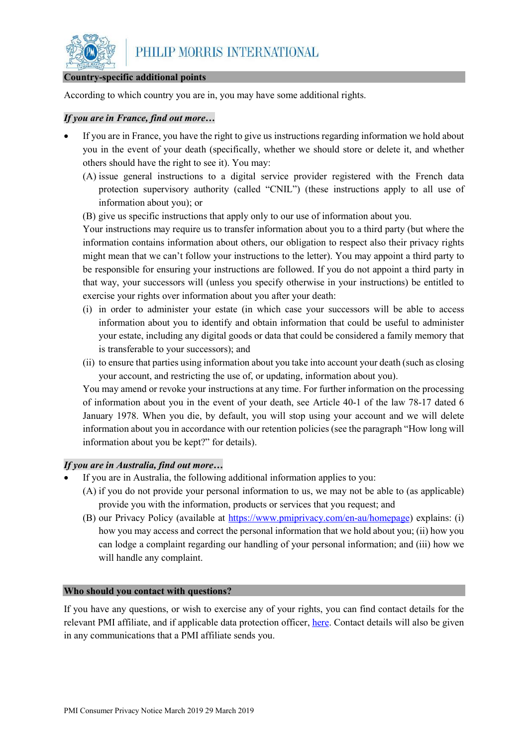

#### **Country-specific additional points**

According to which country you are in, you may have some additional rights.

### *If you are in France, find out more…*

- If you are in France, you have the right to give us instructions regarding information we hold about you in the event of your death (specifically, whether we should store or delete it, and whether others should have the right to see it). You may:
	- (A) issue general instructions to a digital service provider registered with the French data protection supervisory authority (called "CNIL") (these instructions apply to all use of information about you); or
	- (B) give us specific instructions that apply only to our use of information about you.

Your instructions may require us to transfer information about you to a third party (but where the information contains information about others, our obligation to respect also their privacy rights might mean that we can't follow your instructions to the letter). You may appoint a third party to be responsible for ensuring your instructions are followed. If you do not appoint a third party in that way, your successors will (unless you specify otherwise in your instructions) be entitled to exercise your rights over information about you after your death:

- (i) in order to administer your estate (in which case your successors will be able to access information about you to identify and obtain information that could be useful to administer your estate, including any digital goods or data that could be considered a family memory that is transferable to your successors); and
- (ii) to ensure that parties using information about you take into account your death (such as closing your account, and restricting the use of, or updating, information about you).

You may amend or revoke your instructions at any time. For further information on the processing of information about you in the event of your death, see Article 40-1 of the law 78-17 dated 6 January 1978. When you die, by default, you will stop using your account and we will delete information about you in accordance with our retention policies (see the paragraph "How long will information about you be kept?" for details).

# *If you are in Australia, find out more…*

- If you are in Australia, the following additional information applies to you:
	- (A) if you do not provide your personal information to us, we may not be able to (as applicable) provide you with the information, products or services that you request; and
	- (B) our Privacy Policy (available at [https://www.pmiprivacy.com/en-au/homepage\)](https://www.pmiprivacy.com/en-au/homepage) explains: (i) how you may access and correct the personal information that we hold about you; (ii) how you can lodge a complaint regarding our handling of your personal information; and (iii) how we will handle any complaint.

### **Who should you contact with questions?**

If you have any questions, or wish to exercise any of your rights, you can find contact details for the relevant PMI affiliate, and if applicable data protection officer, [here.](https://www.pmiprivacy.com/en/consumer/affiliates) Contact details will also be given in any communications that a PMI affiliate sends you.